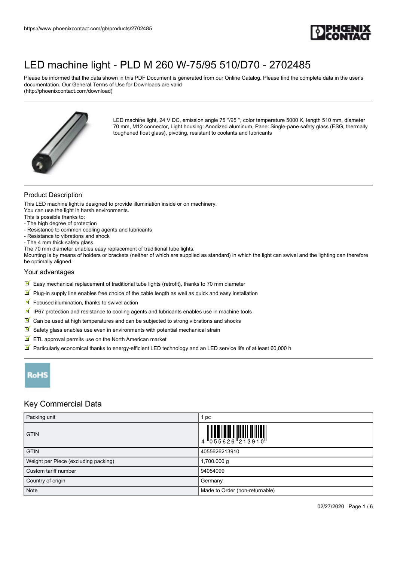

Please be informed that the data shown in this PDF Document is generated from our Online Catalog. Please find the complete data in the user's documentation. Our General Terms of Use for Downloads are valid (http://phoenixcontact.com/download)



LED machine light, 24 V DC, emission angle 75 °/95 °, color temperature 5000 K, length 510 mm, diameter 70 mm, M12 connector, Light housing: Anodized aluminum, Pane: Single-pane safety glass (ESG, thermally toughened float glass), pivoting, resistant to coolants and lubricants

### Product Description

This LED machine light is designed to provide illumination inside or on machinery.

- You can use the light in harsh environments.
- This is possible thanks to:
- The high degree of protection
- Resistance to common cooling agents and lubricants
- Resistance to vibrations and shock
- The 4 mm thick safety glass
- The 70 mm diameter enables easy replacement of traditional tube lights.

Mounting is by means of holders or brackets (neither of which are supplied as standard) in which the light can swivel and the lighting can therefore be optimally aligned.

#### Your advantages

- $\mathbb N$  Easy mechanical replacement of traditional tube lights (retrofit), thanks to 70 mm diameter
- $\Psi$  Plug-in supply line enables free choice of the cable length as well as quick and easy installation
- $\blacksquare$  Focused illumination, thanks to swivel action
- $\boxed{\blacksquare}$  IP67 protection and resistance to cooling agents and lubricants enables use in machine tools
- $\boxed{\blacksquare}$  Can be used at high temperatures and can be subjected to strong vibrations and shocks
- $\mathbb S$  Safety glass enables use even in environments with potential mechanical strain
- $\triangleright$  ETL approval permits use on the North American market
- Particularly economical thanks to energy-efficient LED technology and an LED service life of at least 60,000 h



### Key Commercial Data

| Packing unit                         | pc                                                                                                                                                                                                                                                                                                                          |
|--------------------------------------|-----------------------------------------------------------------------------------------------------------------------------------------------------------------------------------------------------------------------------------------------------------------------------------------------------------------------------|
| <b>GTIN</b>                          | $\begin{array}{c} 1 & 0 & 0 & 0 \\ 0 & 0 & 5 & 5 & 6 & 2 & 6 \\ 0 & 0 & 0 & 0 & 0 \\ 0 & 0 & 0 & 0 & 0 \\ 0 & 0 & 0 & 0 & 0 \\ 0 & 0 & 0 & 0 & 0 \\ 0 & 0 & 0 & 0 & 0 \\ 0 & 0 & 0 & 0 & 0 \\ 0 & 0 & 0 & 0 & 0 \\ 0 & 0 & 0 & 0 & 0 \\ 0 & 0 & 0 & 0 & 0 \\ 0 & 0 & 0 & 0 & 0 & 0 \\ 0 & 0 & 0 & 0 & 0 & 0 \\ 0 & 0 & 0 &$ |
| <b>GTIN</b>                          | 4055626213910                                                                                                                                                                                                                                                                                                               |
| Weight per Piece (excluding packing) | 1,700.000 g                                                                                                                                                                                                                                                                                                                 |
| Custom tariff number                 | 94054099                                                                                                                                                                                                                                                                                                                    |
| Country of origin                    | Germany                                                                                                                                                                                                                                                                                                                     |
| <b>Note</b>                          | Made to Order (non-returnable)                                                                                                                                                                                                                                                                                              |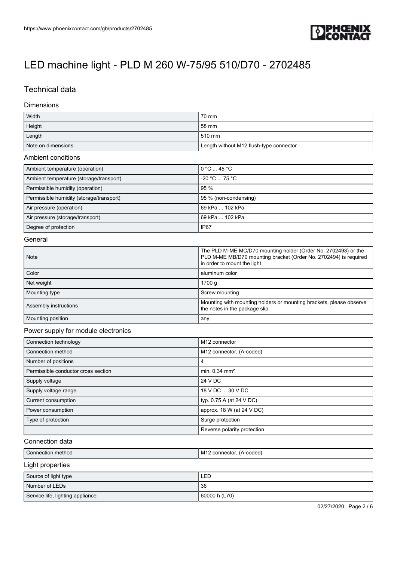

## Technical data

#### **Dimensions**

| Width              | 170 mm                                  |
|--------------------|-----------------------------------------|
| Height             | l 58 mm                                 |
| Length             | $1510$ mm                               |
| Note on dimensions | Length without M12 flush-type connector |

#### Ambient conditions

| Ambient temperature (operation)          | i 0 °C … 45 °C        |
|------------------------------------------|-----------------------|
| Ambient temperature (storage/transport)  | $-20 °C  75 °C$       |
| Permissible humidity (operation)         | 95%                   |
| Permissible humidity (storage/transport) | 95 % (non-condensing) |
| Air pressure (operation)                 | 69 kPa  102 kPa       |
| Air pressure (storage/transport)         | 69 kPa  102 kPa       |
| Degree of protection                     | IP67                  |

### **General**

| <b>Note</b>           | The PLD M-ME MC/D70 mounting holder (Order No. 2702493) or the<br>PLD M-ME MB/D70 mounting bracket (Order No. 2702494) is required<br>in order to mount the light. |
|-----------------------|--------------------------------------------------------------------------------------------------------------------------------------------------------------------|
| Color                 | aluminum color                                                                                                                                                     |
| Net weight            | 1700 g                                                                                                                                                             |
| Mounting type         | Screw mounting                                                                                                                                                     |
| Assembly instructions | Mounting with mounting holders or mounting brackets, please observe<br>the notes in the package slip.                                                              |
| Mounting position     | any                                                                                                                                                                |

#### Power supply for module electronics

| Connection technology               | M <sub>12</sub> connector   |
|-------------------------------------|-----------------------------|
| Connection method                   | M12 connector, (A-coded)    |
| Number of positions                 | 4                           |
| Permissible conductor cross section | min. $0.34$ mm <sup>2</sup> |
| Supply voltage                      | 24 V DC                     |
| Supply voltage range                | 18 V DC  30 V DC            |
| Current consumption                 | typ. 0.75 A (at 24 V DC)    |
| Power consumption                   | approx. $18 W$ (at 24 V DC) |
| Type of protection                  | Surge protection            |
|                                     | Reverse polarity protection |

### Connection data

| Connection method                              | M12 connector, (A-coded) |
|------------------------------------------------|--------------------------|
| Light properties                               |                          |
| Source of light type                           | LED                      |
| $\mathbf{M}$ and $\mathbf{M}$ are $\mathbf{M}$ | $\sim$                   |

| Number of LEDs                   | 36            |
|----------------------------------|---------------|
| Service life, lighting appliance | 60000 h (L70) |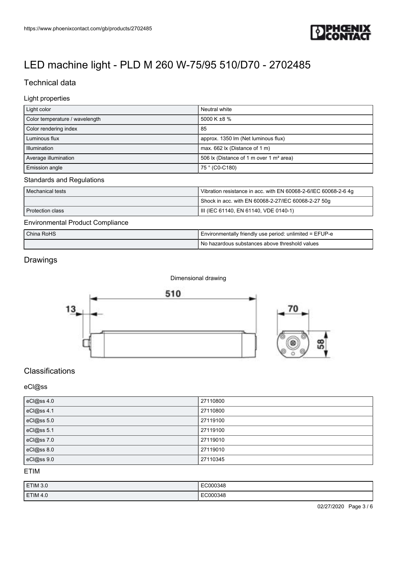

## Technical data

### Light properties

| Light color                      | Neutral white                                                   |
|----------------------------------|-----------------------------------------------------------------|
| Color temperature / wavelength   | 5000 K ±8 %                                                     |
| Color rendering index            | 85                                                              |
| Luminous flux                    | approx. 1350 lm (Net luminous flux)                             |
| <b>Illumination</b>              | max. 662 lx (Distance of 1 m)                                   |
| Average illumination             | 506 lx (Distance of 1 m over 1 m <sup>2</sup> area)             |
| Emission angle                   | 75 ° (C0-C180)                                                  |
| <b>Standards and Regulations</b> |                                                                 |
| Mechanical tests                 | Vibration resistance in acc. with EN 60068-2-6/IEC 60068-2-6 4g |
|                                  | Shock in acc. with EN 60068-2-27/IEC 60068-2-27 50g             |
| Protection class                 | III (IEC 61140, EN 61140, VDE 0140-1)                           |

### Environmental Product Compliance

| China RoHS | Environmentally friendly use period: unlimited = EFUP-e |
|------------|---------------------------------------------------------|
|            | i No hazardous substances above threshold values        |

## Drawings

Dimensional drawing



## Classifications

### eCl@ss

| eCl@ss 4.0 | 27110800 |
|------------|----------|
| eCl@ss 4.1 | 27110800 |
| eCl@ss 5.0 | 27119100 |
| eCl@ss 5.1 | 27119100 |
| eCl@ss 7.0 | 27119010 |
| eCl@ss 8.0 | 27119010 |
| eCl@ss 9.0 | 27110345 |

ETIM

| <b>ETIM 3.0</b> | EC000348 |
|-----------------|----------|
| ETIM 4.0        | EC000348 |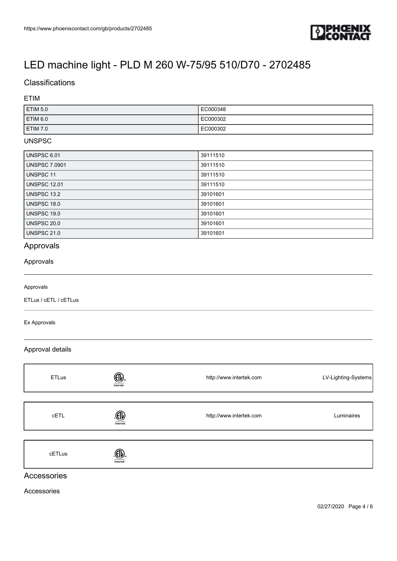

# Classifications

### ETIM

| ETIM 5.0 | EC000348 |
|----------|----------|
| ETIM 6.0 | EC000302 |
| ETIM 7.0 | EC000302 |

### UNSPSC

| UNSPSC 6.01          | 39111510 |
|----------------------|----------|
| <b>UNSPSC 7.0901</b> | 39111510 |
| UNSPSC 11            | 39111510 |
| <b>UNSPSC 12.01</b>  | 39111510 |
| UNSPSC 13.2          | 39101601 |
| UNSPSC 18.0          | 39101601 |
| UNSPSC 19.0          | 39101601 |
| <b>UNSPSC 20.0</b>   | 39101601 |
| <b>UNSPSC 21.0</b>   | 39101601 |

## Approvals

### Approvals

### Approvals

ETLus / cETL / cETLus

#### Ex Approvals

### Approval details

| <b>ETLus</b> | ௵.<br>Intertek                      | http://www.intertek.com | LV-Lighting-Systems |
|--------------|-------------------------------------|-------------------------|---------------------|
| <b>CETL</b>  | ௵                                   | http://www.intertek.com | Luminaires          |
|              | Intertek                            |                         |                     |
| cETLus       | $\overline{\mathbb{D}}$<br>Intertek |                         |                     |

### Accessories

Accessories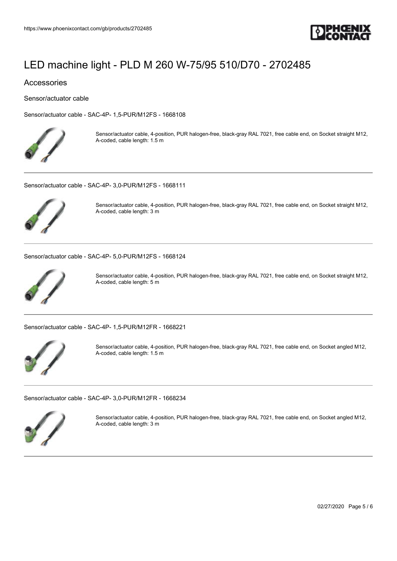

### Accessories

Sensor/actuator cable

[Sensor/actuator cable - SAC-4P- 1,5-PUR/M12FS - 1668108](https://www.phoenixcontact.com/gb/products/1668108)



Sensor/actuator cable, 4-position, PUR halogen-free, black-gray RAL 7021, free cable end, on Socket straight M12, A-coded, cable length: 1.5 m

[Sensor/actuator cable - SAC-4P- 3,0-PUR/M12FS - 1668111](https://www.phoenixcontact.com/gb/products/1668111)



Sensor/actuator cable, 4-position, PUR halogen-free, black-gray RAL 7021, free cable end, on Socket straight M12, A-coded, cable length: 3 m

[Sensor/actuator cable - SAC-4P- 5,0-PUR/M12FS - 1668124](https://www.phoenixcontact.com/gb/products/1668124)



Sensor/actuator cable, 4-position, PUR halogen-free, black-gray RAL 7021, free cable end, on Socket straight M12, A-coded, cable length: 5 m

[Sensor/actuator cable - SAC-4P- 1,5-PUR/M12FR - 1668221](https://www.phoenixcontact.com/gb/products/1668221)



Sensor/actuator cable, 4-position, PUR halogen-free, black-gray RAL 7021, free cable end, on Socket angled M12, A-coded, cable length: 1.5 m

[Sensor/actuator cable - SAC-4P- 3,0-PUR/M12FR - 1668234](https://www.phoenixcontact.com/gb/products/1668234)



Sensor/actuator cable, 4-position, PUR halogen-free, black-gray RAL 7021, free cable end, on Socket angled M12, A-coded, cable length: 3 m